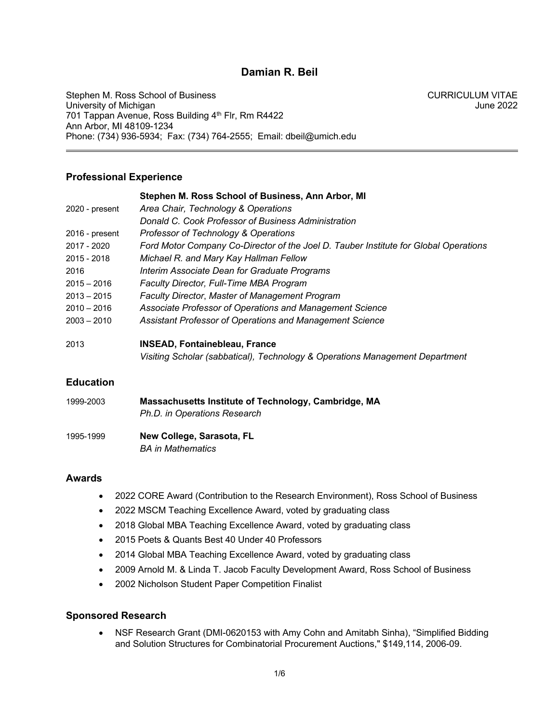# **Damian R. Beil**

Stephen M. Ross School of Business<br>University of Michigan University of Michigan University of Michigan 701 Tappan Avenue, Ross Building 4th Flr, Rm R4422 Ann Arbor, MI 48109-1234 Phone: (734) 936-5934; Fax: (734) 764-2555; Email: dbeil@umich.edu

# **Professional Experience**

|                | Stephen M. Ross School of Business, Ann Arbor, MI                                    |
|----------------|--------------------------------------------------------------------------------------|
| 2020 - present | Area Chair, Technology & Operations                                                  |
|                | Donald C. Cook Professor of Business Administration                                  |
| 2016 - present | Professor of Technology & Operations                                                 |
| 2017 - 2020    | Ford Motor Company Co-Director of the Joel D. Tauber Institute for Global Operations |
| 2015 - 2018    | Michael R. and Mary Kay Hallman Fellow                                               |
| 2016           | Interim Associate Dean for Graduate Programs                                         |
| $2015 - 2016$  | <b>Faculty Director, Full-Time MBA Program</b>                                       |
| $2013 - 2015$  | <b>Faculty Director, Master of Management Program</b>                                |
| $2010 - 2016$  | Associate Professor of Operations and Management Science                             |
| $2003 - 2010$  | Assistant Professor of Operations and Management Science                             |
| 2013           | <b>INSEAD, Fontainebleau, France</b>                                                 |
|                | Visiting Scholar (sabbatical), Technology & Operations Management Department         |

# **Education**

| 1999-2003 | Massachusetts Institute of Technology, Cambridge, MA<br>Ph.D. in Operations Research |
|-----------|--------------------------------------------------------------------------------------|
| 1995-1999 | New College, Sarasota, FL<br><b>BA</b> in Mathematics                                |

# **Awards**

- 2022 CORE Award (Contribution to the Research Environment), Ross School of Business
- 2022 MSCM Teaching Excellence Award, voted by graduating class
- 2018 Global MBA Teaching Excellence Award, voted by graduating class
- 2015 Poets & Quants Best 40 Under 40 Professors
- 2014 Global MBA Teaching Excellence Award, voted by graduating class
- 2009 Arnold M. & Linda T. Jacob Faculty Development Award, Ross School of Business
- 2002 Nicholson Student Paper Competition Finalist

# **Sponsored Research**

• NSF Research Grant (DMI-0620153 with Amy Cohn and Amitabh Sinha), "Simplified Bidding and Solution Structures for Combinatorial Procurement Auctions," \$149,114, 2006-09.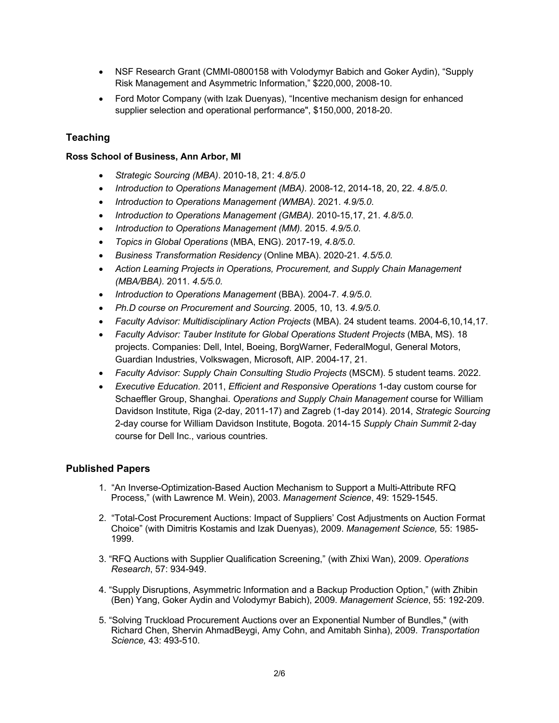- NSF Research Grant (CMMI-0800158 with Volodymyr Babich and Goker Aydin), "Supply Risk Management and Asymmetric Information," \$220,000, 2008-10.
- Ford Motor Company (with Izak Duenyas), "Incentive mechanism design for enhanced supplier selection and operational performance", \$150,000, 2018-20.

# **Teaching**

## **Ross School of Business, Ann Arbor, MI**

- *Strategic Sourcing (MBA)*. 2010-18, 21: *4.8/5.0*
- *Introduction to Operations Management (MBA).* 2008-12, 2014-18, 20, 22. *4.8/5.0*.
- *Introduction to Operations Management (WMBA).* 2021. *4.9/5.0*.
- *Introduction to Operations Management (GMBA).* 2010-15,17, 21. *4.8/5.0*.
- *Introduction to Operations Management (MM).* 2015. *4.9/5.0*.
- *Topics in Global Operations* (MBA, ENG). 2017-19, *4.8/5.0*.
- *Business Transformation Residency* (Online MBA). 2020-21. *4.5/5.0.*
- *Action Learning Projects in Operations, Procurement, and Supply Chain Management (MBA/BBA).* 2011. *4.5/5.0.*
- *Introduction to Operations Management* (BBA). 2004-7. *4.9/5.0*.
- *Ph.D course on Procurement and Sourcing*. 2005, 10, 13. *4.9/5.0*.
- *Faculty Advisor: Multidisciplinary Action Projects* (MBA). 24 student teams. 2004-6,10,14,17.
- *Faculty Advisor: Tauber Institute for Global Operations Student Projects* (MBA, MS). 18 projects. Companies: Dell, Intel, Boeing, BorgWarner, FederalMogul, General Motors, Guardian Industries, Volkswagen, Microsoft, AIP. 2004-17, 21.
- *Faculty Advisor: Supply Chain Consulting Studio Projects* (MSCM). 5 student teams. 2022.
- *Executive Education*. 2011, *Efficient and Responsive Operations* 1-day custom course for Schaeffler Group, Shanghai. *Operations and Supply Chain Management* course for William Davidson Institute, Riga (2-day, 2011-17) and Zagreb (1-day 2014). 2014, *Strategic Sourcing* 2-day course for William Davidson Institute, Bogota. 2014-15 *Supply Chain Summit* 2-day course for Dell Inc., various countries.

# **Published Papers**

- 1. "An Inverse-Optimization-Based Auction Mechanism to Support a Multi-Attribute RFQ Process," (with Lawrence M. Wein), 2003. *Management Science*, 49: 1529-1545.
- 2. "Total-Cost Procurement Auctions: Impact of Suppliers' Cost Adjustments on Auction Format Choice" (with Dimitris Kostamis and Izak Duenyas), 2009. *Management Science,* 55: 1985- 1999.
- 3. "RFQ Auctions with Supplier Qualification Screening," (with Zhixi Wan), 2009. *Operations Research*, 57: 934-949.
- 4. "Supply Disruptions, Asymmetric Information and a Backup Production Option," (with Zhibin (Ben) Yang, Goker Aydin and Volodymyr Babich), 2009. *Management Science*, 55: 192-209.
- 5. "Solving Truckload Procurement Auctions over an Exponential Number of Bundles," (with Richard Chen, Shervin AhmadBeygi, Amy Cohn, and Amitabh Sinha), 2009. *Transportation Science,* 43: 493-510.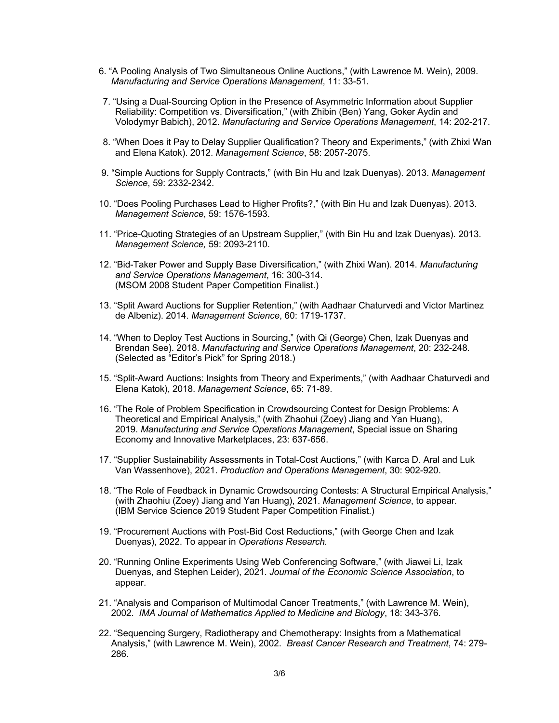- 6. "A Pooling Analysis of Two Simultaneous Online Auctions," (with Lawrence M. Wein), 2009. *Manufacturing and Service Operations Management*, 11: 33-51.
- 7. "Using a Dual-Sourcing Option in the Presence of Asymmetric Information about Supplier Reliability: Competition vs. Diversification," (with Zhibin (Ben) Yang, Goker Aydin and Volodymyr Babich), 2012. *Manufacturing and Service Operations Management*, 14: 202-217.
- 8. "When Does it Pay to Delay Supplier Qualification? Theory and Experiments," (with Zhixi Wan and Elena Katok). 2012. *Management Science*, 58: 2057-2075.
- 9. "Simple Auctions for Supply Contracts," (with Bin Hu and Izak Duenyas). 2013. *Management Science*, 59: 2332-2342.
- 10. "Does Pooling Purchases Lead to Higher Profits?," (with Bin Hu and Izak Duenyas). 2013. *Management Science*, 59: 1576-1593.
- 11. "Price-Quoting Strategies of an Upstream Supplier," (with Bin Hu and Izak Duenyas). 2013. *Management Science,* 59: 2093-2110.
- 12. "Bid-Taker Power and Supply Base Diversification," (with Zhixi Wan). 2014. *Manufacturing and Service Operations Management*, 16: 300-314. (MSOM 2008 Student Paper Competition Finalist.)
- 13. "Split Award Auctions for Supplier Retention," (with Aadhaar Chaturvedi and Victor Martinez de Albeniz). 2014. *Management Science*, 60: 1719-1737.
- 14. "When to Deploy Test Auctions in Sourcing," (with Qi (George) Chen, Izak Duenyas and Brendan See). 2018. *Manufacturing and Service Operations Management*, 20: 232-248*.* (Selected as "Editor's Pick" for Spring 2018.)
- 15. "Split-Award Auctions: Insights from Theory and Experiments," (with Aadhaar Chaturvedi and Elena Katok), 2018. *Management Science*, 65: 71-89.
- 16. "The Role of Problem Specification in Crowdsourcing Contest for Design Problems: A Theoretical and Empirical Analysis," (with Zhaohui (Zoey) Jiang and Yan Huang), 2019. *Manufacturing and Service Operations Management*, Special issue on Sharing Economy and Innovative Marketplaces, 23: 637-656.
- 17. "Supplier Sustainability Assessments in Total-Cost Auctions," (with Karca D. Aral and Luk Van Wassenhove), 2021. *Production and Operations Management*, 30: 902-920.
- 18. "The Role of Feedback in Dynamic Crowdsourcing Contests: A Structural Empirical Analysis," (with Zhaohiu (Zoey) Jiang and Yan Huang), 2021. *Management Science*, to appear*.* (IBM Service Science 2019 Student Paper Competition Finalist.)
- 19. "Procurement Auctions with Post-Bid Cost Reductions," (with George Chen and Izak Duenyas), 2022. To appear in *Operations Research.*
- 20. "Running Online Experiments Using Web Conferencing Software," (with Jiawei Li, Izak Duenyas, and Stephen Leider), 2021. *Journal of the Economic Science Association*, to appear.
- 21. "Analysis and Comparison of Multimodal Cancer Treatments," (with Lawrence M. Wein), 2002. *IMA Journal of Mathematics Applied to Medicine and Biology*, 18: 343-376.
- 22. "Sequencing Surgery, Radiotherapy and Chemotherapy: Insights from a Mathematical Analysis," (with Lawrence M. Wein), 2002. *Breast Cancer Research and Treatment*, 74: 279- 286.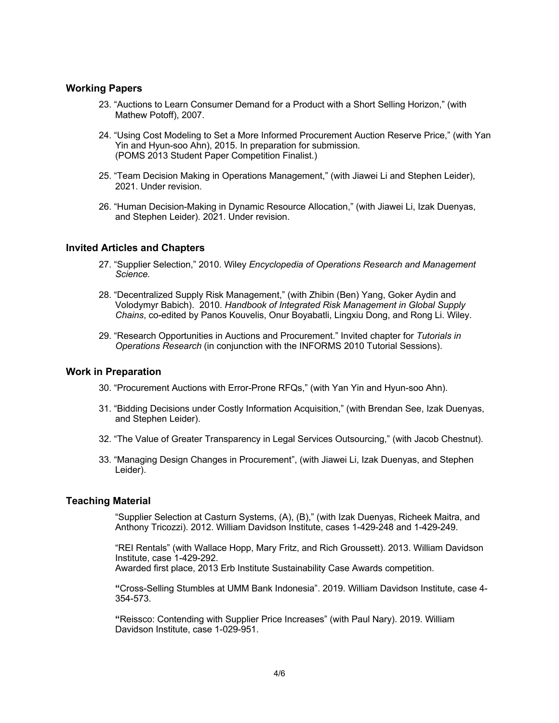## **Working Papers**

- 23. "Auctions to Learn Consumer Demand for a Product with a Short Selling Horizon," (with Mathew Potoff), 2007.
- 24. "Using Cost Modeling to Set a More Informed Procurement Auction Reserve Price," (with Yan Yin and Hyun-soo Ahn), 2015. In preparation for submission*.* (POMS 2013 Student Paper Competition Finalist.)
- 25. "Team Decision Making in Operations Management," (with Jiawei Li and Stephen Leider), 2021. Under revision.
- 26. "Human Decision-Making in Dynamic Resource Allocation," (with Jiawei Li, Izak Duenyas, and Stephen Leider). 2021. Under revision.

#### **Invited Articles and Chapters**

- 27. "Supplier Selection," 2010. Wiley *Encyclopedia of Operations Research and Management Science.*
- 28. "Decentralized Supply Risk Management," (with Zhibin (Ben) Yang, Goker Aydin and Volodymyr Babich). 2010. *Handbook of Integrated Risk Management in Global Supply Chains*, co-edited by Panos Kouvelis, Onur Boyabatli, Lingxiu Dong, and Rong Li. Wiley.
- 29. "Research Opportunities in Auctions and Procurement." Invited chapter for *Tutorials in Operations Research* (in conjunction with the INFORMS 2010 Tutorial Sessions).

### **Work in Preparation**

- 30. "Procurement Auctions with Error-Prone RFQs," (with Yan Yin and Hyun-soo Ahn).
- 31. "Bidding Decisions under Costly Information Acquisition," (with Brendan See, Izak Duenyas, and Stephen Leider).
- 32. "The Value of Greater Transparency in Legal Services Outsourcing," (with Jacob Chestnut).
- 33. "Managing Design Changes in Procurement", (with Jiawei Li, Izak Duenyas, and Stephen Leider).

#### **Teaching Material**

"Supplier Selection at Casturn Systems, (A), (B)," (with Izak Duenyas, Richeek Maitra, and Anthony Tricozzi). 2012. William Davidson Institute, cases 1-429-248 and 1-429-249.

"REI Rentals" (with Wallace Hopp, Mary Fritz, and Rich Groussett). 2013. William Davidson Institute, case 1-429-292.

Awarded first place, 2013 Erb Institute Sustainability Case Awards competition.

**"**Cross-Selling Stumbles at UMM Bank Indonesia". 2019. William Davidson Institute, case 4- 354-573.

**"**Reissco: Contending with Supplier Price Increases" (with Paul Nary). 2019. William Davidson Institute, case 1-029-951.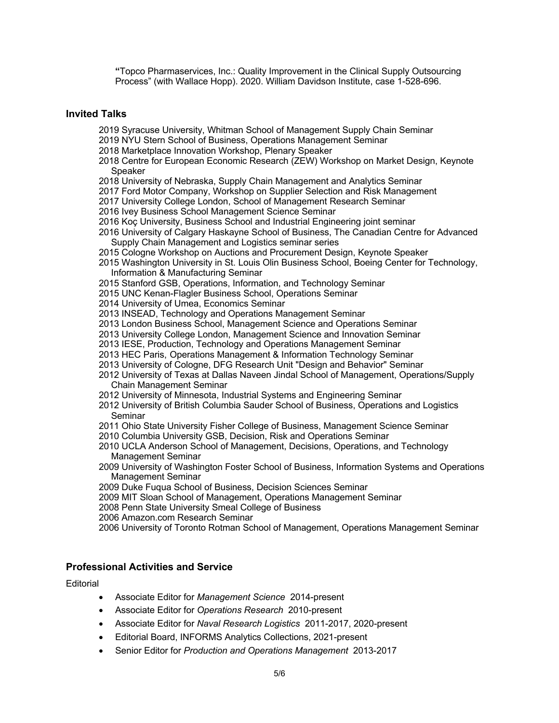**"**Topco Pharmaservices, Inc.: Quality Improvement in the Clinical Supply Outsourcing Process" (with Wallace Hopp). 2020. William Davidson Institute, case 1-528-696.

## **Invited Talks**

- 2019 Syracuse University, Whitman School of Management Supply Chain Seminar
- 2019 NYU Stern School of Business, Operations Management Seminar
- 2018 Marketplace Innovation Workshop, Plenary Speaker
- 2018 Centre for European Economic Research (ZEW) Workshop on Market Design, Keynote Speaker
- 2018 University of Nebraska, Supply Chain Management and Analytics Seminar
- 2017 Ford Motor Company, Workshop on Supplier Selection and Risk Management
- 2017 University College London, School of Management Research Seminar
- 2016 Ivey Business School Management Science Seminar
- 2016 Koç University, Business School and Industrial Engineering joint seminar
- 2016 University of Calgary Haskayne School of Business, The Canadian Centre for Advanced Supply Chain Management and Logistics seminar series
- 2015 Cologne Workshop on Auctions and Procurement Design, Keynote Speaker
- 2015 Washington University in St. Louis Olin Business School, Boeing Center for Technology, Information & Manufacturing Seminar
- 2015 Stanford GSB, Operations, Information, and Technology Seminar
- 2015 UNC Kenan-Flagler Business School, Operations Seminar
- 2014 University of Umea, Economics Seminar
- 2013 INSEAD, Technology and Operations Management Seminar
- 2013 London Business School, Management Science and Operations Seminar
- 2013 University College London, Management Science and Innovation Seminar
- 2013 IESE, Production, Technology and Operations Management Seminar
- 2013 HEC Paris, Operations Management & Information Technology Seminar
- 2013 University of Cologne, DFG Research Unit "Design and Behavior" Seminar
- 2012 University of Texas at Dallas Naveen Jindal School of Management, Operations/Supply Chain Management Seminar
- 2012 University of Minnesota, Industrial Systems and Engineering Seminar
- 2012 University of British Columbia Sauder School of Business, Operations and Logistics **Seminar**
- 2011 Ohio State University Fisher College of Business, Management Science Seminar
- 2010 Columbia University GSB, Decision, Risk and Operations Seminar
- 2010 UCLA Anderson School of Management, Decisions, Operations, and Technology Management Seminar
- 2009 University of Washington Foster School of Business, Information Systems and Operations Management Seminar
- 2009 Duke Fuqua School of Business, Decision Sciences Seminar
- 2009 MIT Sloan School of Management, Operations Management Seminar
- 2008 Penn State University Smeal College of Business
- 2006 Amazon.com Research Seminar
- 2006 University of Toronto Rotman School of Management, Operations Management Seminar

### **Professional Activities and Service**

**Editorial** 

- Associate Editor for *Management Science* 2014-present
- Associate Editor for *Operations Research* 2010-present
- Associate Editor for *Naval Research Logistics* 2011-2017, 2020-present
- Editorial Board, INFORMS Analytics Collections, 2021-present
- Senior Editor for *Production and Operations Management* 2013-2017